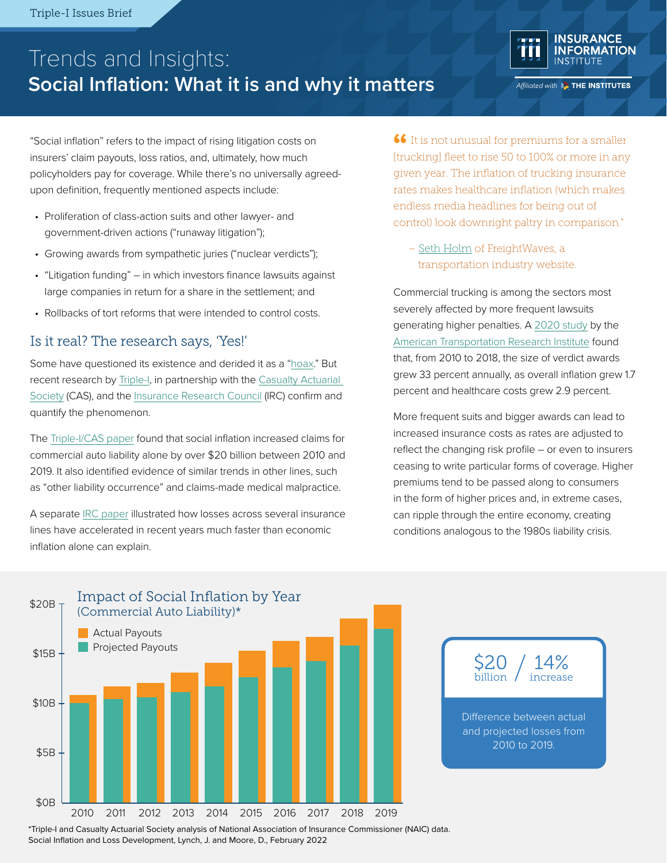# Trends and Insights: **Social Inflation: What it is and why it matters**



Affiliated with **EXTHE INSTITUTES** 

"Social inflation" refers to the impact of rising litigation costs on insurers' claim payouts, loss ratios, and, ultimately, how much policyholders pay for coverage. While there's no universally agreedupon definition, frequently mentioned aspects include:

- Proliferation of class-action suits and other lawyer- and government-driven actions ("runaway litigation");
- Growing awards from sympathetic juries ("nuclear verdicts");
- "Litigation funding" in which investors finance lawsuits against large companies in return for a share in the settlement; and
- Rollbacks of tort reforms that were intended to control costs.

### Is it real? The research says, 'Yes!'

Some have questioned its existence and derided it as a ["hoax.](https://consumerfed.org/wp-content/uploads/2020/03/Auto-Insurance-Report.pdf)" But recent research by [Triple-I](https://www.iii.org/), in partnership with the [Casualty Actuarial](https://www.casact.org/)  [Society](https://www.casact.org/) (CAS), and the [Insurance Research Council](https://www.insurance-research.org/) (IRC) confirm and quantify the phenomenon.

The [Triple-I/CAS paper](https://www.iii.org/sites/default/files/docs/pdf/social_inflation_loss_development_wp_02082022.pdf) found that social inflation increased claims for commercial auto liability alone by over \$20 billion between 2010 and 2019. It also identified evidence of similar trends in other lines, such as "other liability occurrence" and claims-made medical malpractice.

A separate [IRC paper](https://www.insurance-research.org/sites/default/files/news_releases/IRCSocialInflation2020.pdf) illustrated how losses across several insurance lines have accelerated in recent years much faster than economic inflation alone can explain.

**66** It is not unusual for premiums for a smaller **66** It is not unusual for premiums for a smaller [trucking] fleet to rise 50 to 100% or more in any given year. The inflation of trucking insurance rates makes healthcare inflation (which makes endless media headlines for being out of control) look downright paltry in comparison."

– [Seth Holm](https://www.freightwaves.com/news/are-nuclear-verdicts-out-of-control) of FreightWaves, a transportation industry website.

Commercial trucking is among the sectors most severely affected by more frequent lawsuits generating higher penalties. A [2020 study](https://www.ccjdigital.com/business/article/15281138/spike-in-nuclear-verdicts-driving-costs-risk-in-trucking) by the [American Transportation Research Institute](https://truckingresearch.org/) found that, from 2010 to 2018, the size of verdict awards grew 33 percent annually, as overall inflation grew 1.7 percent and healthcare costs grew 2.9 percent.

More frequent suits and bigger awards can lead to increased insurance costs as rates are adjusted to reflect the changing risk profile – or even to insurers ceasing to write particular forms of coverage. Higher premiums tend to be passed along to consumers in the form of higher prices and, in extreme cases, can ripple through the entire economy, creating conditions analogous to the 1980s liability crisis.



\*Triple-I and Casualty Actuarial Society analysis of National Association of Insurance Commissioner (NAIC) data. Social Inflation and Loss Development, Lynch, J. and Moore, D., February 2022